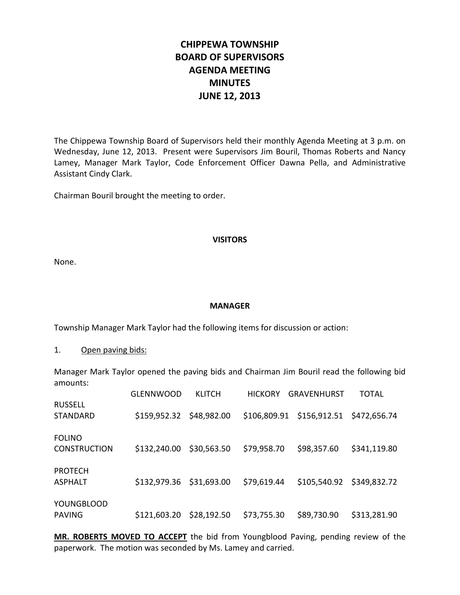# **CHIPPEWA TOWNSHIP BOARD OF SUPERVISORS AGENDA MEETING MINUTES JUNE 12, 2013**

The Chippewa Township Board of Supervisors held their monthly Agenda Meeting at 3 p.m. on Wednesday, June 12, 2013. Present were Supervisors Jim Bouril, Thomas Roberts and Nancy Lamey, Manager Mark Taylor, Code Enforcement Officer Dawna Pella, and Administrative Assistant Cindy Clark.

Chairman Bouril brought the meeting to order.

#### **VISITORS**

None.

#### **MANAGER**

Township Manager Mark Taylor had the following items for discussion or action:

1. Open paving bids:

Manager Mark Taylor opened the paving bids and Chairman Jim Bouril read the following bid amounts:

|                                      | <b>GLENNWOOD</b>         | <b>KLITCH</b> | <b>HICKORY</b> | <b>GRAVENHURST</b>                     | <b>TOTAL</b> |
|--------------------------------------|--------------------------|---------------|----------------|----------------------------------------|--------------|
| <b>RUSSELL</b><br><b>STANDARD</b>    | \$159,952.32 \$48,982.00 |               |                | \$106,809.91 \$156,912.51 \$472,656.74 |              |
| <b>FOLINO</b><br><b>CONSTRUCTION</b> | \$132,240.00             | \$30,563.50   | \$79,958.70    | \$98,357.60                            | \$341,119.80 |
| <b>PROTECH</b><br><b>ASPHALT</b>     | \$132,979.36 \$31,693.00 |               | \$79,619.44    | \$105,540.92 \$349,832.72              |              |
| <b>YOUNGBLOOD</b><br><b>PAVING</b>   | \$121,603.20             | \$28,192.50   | \$73,755.30    | \$89,730.90                            | \$313,281.90 |

**MR. ROBERTS MOVED TO ACCEPT** the bid from Youngblood Paving, pending review of the paperwork. The motion was seconded by Ms. Lamey and carried.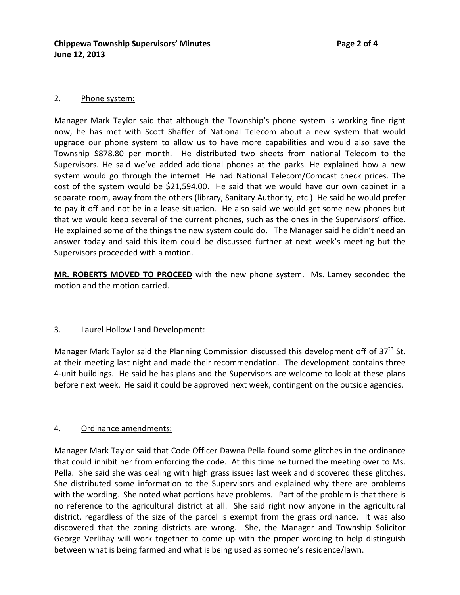## 2. Phone system:

Manager Mark Taylor said that although the Township's phone system is working fine right now, he has met with Scott Shaffer of National Telecom about a new system that would upgrade our phone system to allow us to have more capabilities and would also save the Township \$878.80 per month. He distributed two sheets from national Telecom to the Supervisors. He said we've added additional phones at the parks. He explained how a new system would go through the internet. He had National Telecom/Comcast check prices. The cost of the system would be \$21,594.00. He said that we would have our own cabinet in a separate room, away from the others (library, Sanitary Authority, etc.) He said he would prefer to pay it off and not be in a lease situation. He also said we would get some new phones but that we would keep several of the current phones, such as the ones in the Supervisors' office. He explained some of the things the new system could do. The Manager said he didn't need an answer today and said this item could be discussed further at next week's meeting but the Supervisors proceeded with a motion.

**MR. ROBERTS MOVED TO PROCEED** with the new phone system. Ms. Lamey seconded the motion and the motion carried.

#### 3. Laurel Hollow Land Development:

Manager Mark Taylor said the Planning Commission discussed this development off of  $37<sup>th</sup>$  St. at their meeting last night and made their recommendation. The development contains three 4-unit buildings. He said he has plans and the Supervisors are welcome to look at these plans before next week. He said it could be approved next week, contingent on the outside agencies.

# 4. Ordinance amendments:

Manager Mark Taylor said that Code Officer Dawna Pella found some glitches in the ordinance that could inhibit her from enforcing the code. At this time he turned the meeting over to Ms. Pella. She said she was dealing with high grass issues last week and discovered these glitches. She distributed some information to the Supervisors and explained why there are problems with the wording. She noted what portions have problems. Part of the problem is that there is no reference to the agricultural district at all. She said right now anyone in the agricultural district, regardless of the size of the parcel is exempt from the grass ordinance. It was also discovered that the zoning districts are wrong. She, the Manager and Township Solicitor George Verlihay will work together to come up with the proper wording to help distinguish between what is being farmed and what is being used as someone's residence/lawn.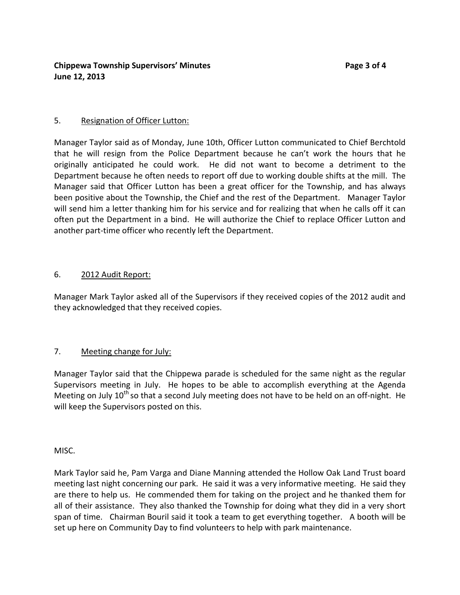## 5. Resignation of Officer Lutton:

Manager Taylor said as of Monday, June 10th, Officer Lutton communicated to Chief Berchtold that he will resign from the Police Department because he can't work the hours that he originally anticipated he could work. He did not want to become a detriment to the Department because he often needs to report off due to working double shifts at the mill. The Manager said that Officer Lutton has been a great officer for the Township, and has always been positive about the Township, the Chief and the rest of the Department. Manager Taylor will send him a letter thanking him for his service and for realizing that when he calls off it can often put the Department in a bind. He will authorize the Chief to replace Officer Lutton and another part-time officer who recently left the Department.

# 6. 2012 Audit Report:

Manager Mark Taylor asked all of the Supervisors if they received copies of the 2012 audit and they acknowledged that they received copies.

# 7. Meeting change for July:

Manager Taylor said that the Chippewa parade is scheduled for the same night as the regular Supervisors meeting in July. He hopes to be able to accomplish everything at the Agenda Meeting on July  $10<sup>th</sup>$  so that a second July meeting does not have to be held on an off-night. He will keep the Supervisors posted on this.

MISC.

Mark Taylor said he, Pam Varga and Diane Manning attended the Hollow Oak Land Trust board meeting last night concerning our park. He said it was a very informative meeting. He said they are there to help us. He commended them for taking on the project and he thanked them for all of their assistance. They also thanked the Township for doing what they did in a very short span of time. Chairman Bouril said it took a team to get everything together. A booth will be set up here on Community Day to find volunteers to help with park maintenance.